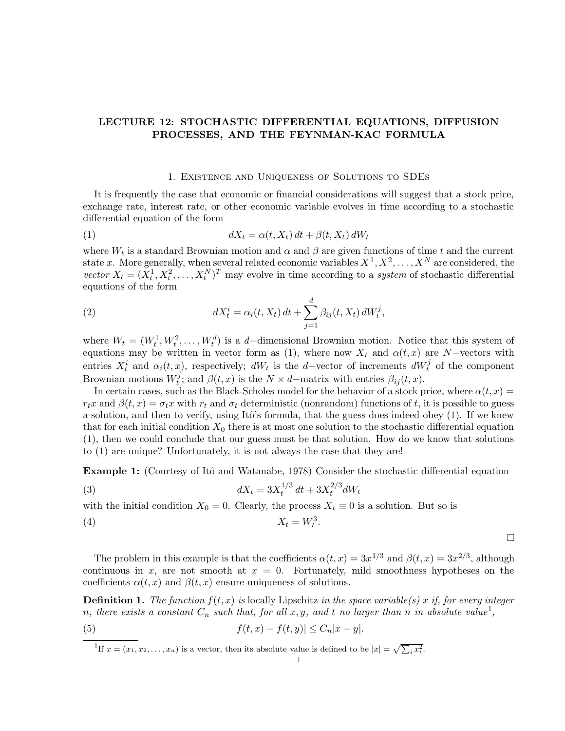# LECTURE 12: STOCHASTIC DIFFERENTIAL EQUATIONS, DIFFUSION PROCESSES, AND THE FEYNMAN-KAC FORMULA

#### 1. Existence and Uniqueness of Solutions to SDEs

It is frequently the case that economic or financial considerations will suggest that a stock price, exchange rate, interest rate, or other economic variable evolves in time according to a stochastic differential equation of the form

$$
(1) \t dX_t = \alpha(t, X_t) dt + \beta(t, X_t) dW_t
$$

where  $W_t$  is a standard Brownian motion and  $\alpha$  and  $\beta$  are given functions of time t and the current state x. More generally, when several related economic variables  $X^1, X^2, \ldots, X^N$  are considered, the vector  $X_t = (X_t^1, X_t^2, \dots, X_t^N)^T$  may evolve in time according to a system of stochastic differential equations of the form

(2) 
$$
dX_t^i = \alpha_i(t, X_t) dt + \sum_{j=1}^d \beta_{ij}(t, X_t) dW_t^j,
$$

where  $W_t = (W_t^1, W_t^2, \dots, W_t^d)$  is a d-dimensional Brownian motion. Notice that this system of equations may be written in vector form as (1), where now  $X_t$  and  $\alpha(t, x)$  are N-vectors with entries  $X_t^i$  and  $\alpha_i(t, x)$ , respectively;  $dW_t$  is the d-vector of increments  $dW_t^j$  of the component Brownian motions  $W_t^j$  $t_i^j$ ; and  $\beta(t, x)$  is the  $N \times d$ -matrix with entries  $\beta_{ij}(t, x)$ .

In certain cases, such as the Black-Scholes model for the behavior of a stock price, where  $\alpha(t, x)$  $r_tx$  and  $\beta(t,x) = \sigma_t x$  with  $r_t$  and  $\sigma_t$  deterministic (nonrandom) functions of t, it is possible to guess a solution, and then to verify, using Itô's formula, that the guess does indeed obey (1). If we knew that for each initial condition  $X_0$  there is at most one solution to the stochastic differential equation (1), then we could conclude that our guess must be that solution. How do we know that solutions to (1) are unique? Unfortunately, it is not always the case that they are!

**Example 1:** (Courtesy of Itô and Watanabe, 1978) Consider the stochastic differential equation

(3) 
$$
dX_t = 3X_t^{1/3} dt + 3X_t^{2/3} dW_t
$$

with the initial condition  $X_0 = 0$ . Clearly, the process  $X_t \equiv 0$  is a solution. But so is

$$
(4) \t\t X_t = W_t^3
$$

 $\Box$ 

The problem in this example is that the coefficients  $\alpha(t,x) = 3x^{1/3}$  and  $\beta(t,x) = 3x^{2/3}$ , although continuous in x, are not smooth at  $x = 0$ . Fortunately, mild smoothness hypotheses on the coefficients  $\alpha(t, x)$  and  $\beta(t, x)$  ensure uniqueness of solutions.

.

**Definition 1.** The function  $f(t, x)$  is locally Lipschitz in the space variable(s) x if, for every integer n, there exists a constant  $C_n$  such that, for all  $x, y$ , and t no larger than n in absolute value<sup>1</sup>,

(5) 
$$
|f(t,x) - f(t,y)| \le C_n |x - y|.
$$

<sup>1</sup>If  $x = (x_1, x_2, \ldots, x_n)$  is a vector, then its absolute value is defined to be  $|x| = \sqrt{\sum_i x_i^2}$ .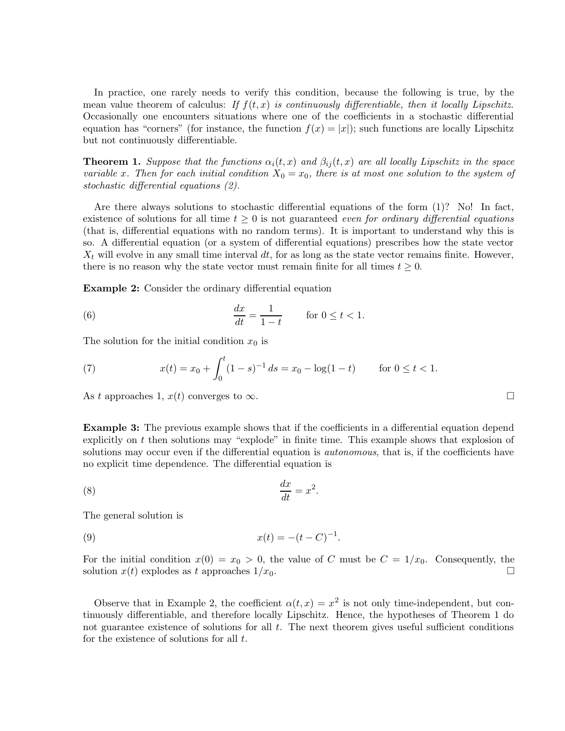In practice, one rarely needs to verify this condition, because the following is true, by the mean value theorem of calculus: If  $f(t, x)$  is continuously differentiable, then it locally Lipschitz. Occasionally one encounters situations where one of the coefficients in a stochastic differential equation has "corners" (for instance, the function  $f(x) = |x|$ ); such functions are locally Lipschitz but not continuously differentiable.

**Theorem 1.** Suppose that the functions  $\alpha_i(t, x)$  and  $\beta_{ij}(t, x)$  are all locally Lipschitz in the space variable x. Then for each initial condition  $X_0 = x_0$ , there is at most one solution to the system of stochastic differential equations (2).

Are there always solutions to stochastic differential equations of the form (1)? No! In fact, existence of solutions for all time  $t \geq 0$  is not guaranteed even for ordinary differential equations (that is, differential equations with no random terms). It is important to understand why this is so. A differential equation (or a system of differential equations) prescribes how the state vector  $X_t$  will evolve in any small time interval dt, for as long as the state vector remains finite. However, there is no reason why the state vector must remain finite for all times  $t \geq 0$ .

Example 2: Consider the ordinary differential equation

(6) 
$$
\frac{dx}{dt} = \frac{1}{1-t} \quad \text{for } 0 \le t < 1.
$$

The solution for the initial condition  $x_0$  is

(7) 
$$
x(t) = x_0 + \int_0^t (1 - s)^{-1} ds = x_0 - \log(1 - t) \quad \text{for } 0 \le t < 1.
$$

As t approaches 1,  $x(t)$  converges to  $\infty$ .

**Example 3:** The previous example shows that if the coefficients in a differential equation depend explicitly on  $t$  then solutions may "explode" in finite time. This example shows that explosion of solutions may occur even if the differential equation is *autonomous*, that is, if the coefficients have no explicit time dependence. The differential equation is

.

.

$$
\frac{dx}{dt} = x^2
$$

The general solution is

(9) 
$$
x(t) = -(t - C)^{-1}
$$

For the initial condition  $x(0) = x_0 > 0$ , the value of C must be  $C = 1/x_0$ . Consequently, the solution  $x(t)$  explodes as t approaches  $1/x_0$ .

Observe that in Example 2, the coefficient  $\alpha(t,x) = x^2$  is not only time-independent, but continuously differentiable, and therefore locally Lipschitz. Hence, the hypotheses of Theorem 1 do not guarantee existence of solutions for all  $t$ . The next theorem gives useful sufficient conditions for the existence of solutions for all  $t$ .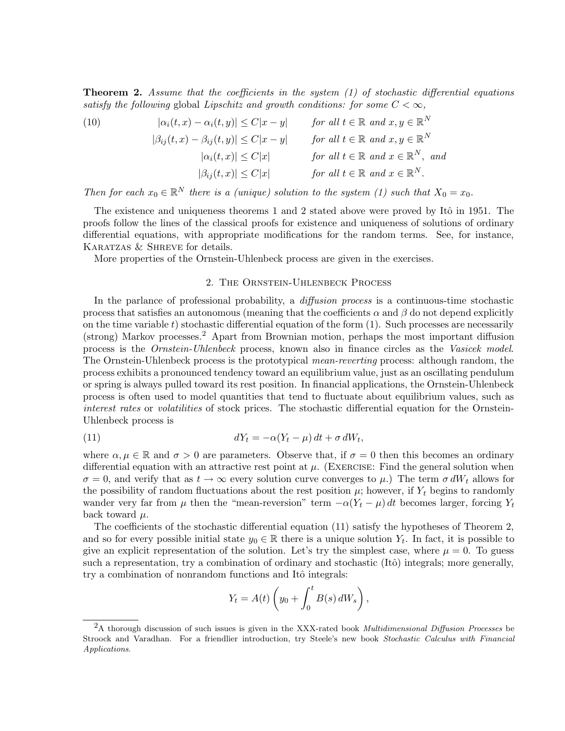**Theorem 2.** Assume that the coefficients in the system  $(1)$  of stochastic differential equations satisfy the following global Lipschitz and growth conditions: for some  $C < \infty$ ,

(10) 
$$
|\alpha_i(t, x) - \alpha_i(t, y)| \le C|x - y| \quad \text{for all } t \in \mathbb{R} \text{ and } x, y \in \mathbb{R}^N
$$

$$
|\beta_{ij}(t, x) - \beta_{ij}(t, y)| \le C|x - y| \quad \text{for all } t \in \mathbb{R} \text{ and } x, y \in \mathbb{R}^N
$$

$$
|\alpha_i(t, x)| \le C|x| \quad \text{for all } t \in \mathbb{R} \text{ and } x \in \mathbb{R}^N, \text{ and }
$$

$$
|\beta_{ij}(t, x)| \le C|x| \quad \text{for all } t \in \mathbb{R} \text{ and } x \in \mathbb{R}^N.
$$

Then for each  $x_0 \in \mathbb{R}^N$  there is a (unique) solution to the system (1) such that  $X_0 = x_0$ .

The existence and uniqueness theorems 1 and 2 stated above were proved by Itô in 1951. The proofs follow the lines of the classical proofs for existence and uniqueness of solutions of ordinary differential equations, with appropriate modifications for the random terms. See, for instance, KARATZAS & SHREVE for details.

More properties of the Ornstein-Uhlenbeck process are given in the exercises.

#### 2. The Ornstein-Uhlenbeck Process

In the parlance of professional probability, a *diffusion process* is a continuous-time stochastic process that satisfies an autonomous (meaning that the coefficients  $\alpha$  and  $\beta$  do not depend explicitly on the time variable t) stochastic differential equation of the form  $(1)$ . Such processes are necessarily (strong) Markov processes.<sup>2</sup> Apart from Brownian motion, perhaps the most important diffusion process is the Ornstein-Uhlenbeck process, known also in finance circles as the Vasicek model. The Ornstein-Uhlenbeck process is the prototypical mean-reverting process: although random, the process exhibits a pronounced tendency toward an equilibrium value, just as an oscillating pendulum or spring is always pulled toward its rest position. In financial applications, the Ornstein-Uhlenbeck process is often used to model quantities that tend to fluctuate about equilibrium values, such as interest rates or volatilities of stock prices. The stochastic differential equation for the Ornstein-Uhlenbeck process is

(11) 
$$
dY_t = -\alpha (Y_t - \mu) dt + \sigma dW_t,
$$

where  $\alpha, \mu \in \mathbb{R}$  and  $\sigma > 0$  are parameters. Observe that, if  $\sigma = 0$  then this becomes an ordinary differential equation with an attractive rest point at  $\mu$ . (EXERCISE: Find the general solution when  $\sigma = 0$ , and verify that as  $t \to \infty$  every solution curve converges to  $\mu$ .) The term  $\sigma dW_t$  allows for the possibility of random fluctuations about the rest position  $\mu$ ; however, if  $Y_t$  begins to randomly wander very far from  $\mu$  then the "mean-reversion" term  $-\alpha(Y_t - \mu) dt$  becomes larger, forcing  $Y_t$ back toward  $\mu$ .

The coefficients of the stochastic differential equation (11) satisfy the hypotheses of Theorem 2, and so for every possible initial state  $y_0 \in \mathbb{R}$  there is a unique solution  $Y_t$ . In fact, it is possible to give an explicit representation of the solution. Let's try the simplest case, where  $\mu = 0$ . To guess such a representation, try a combination of ordinary and stochastic (Itô) integrals; more generally, try a combination of nonrandom functions and Itô integrals:

$$
Y_t = A(t) \left( y_0 + \int_0^t B(s) dW_s \right),
$$

 $2A$  thorough discussion of such issues is given in the XXX-rated book *Multidimensional Diffusion Processes* be Stroock and Varadhan. For a friendlier introduction, try Steele's new book Stochastic Calculus with Financial Applications.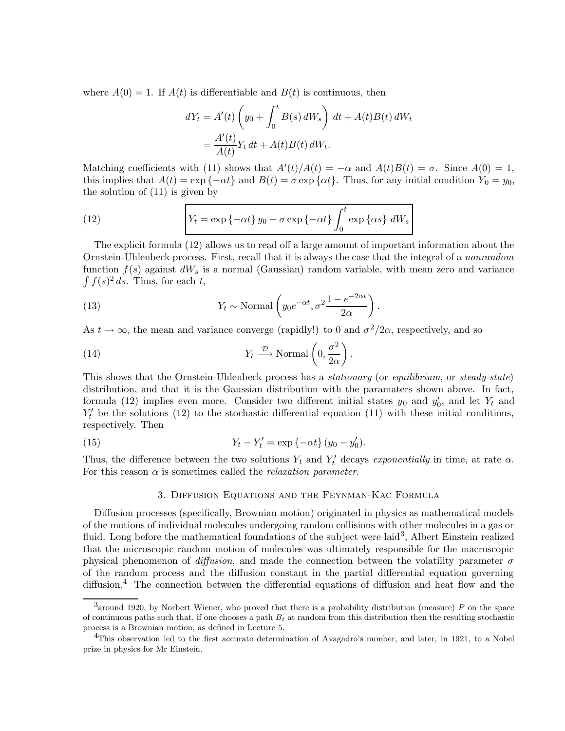where  $A(0) = 1$ . If  $A(t)$  is differentiable and  $B(t)$  is continuous, then

$$
dY_t = A'(t) \left( y_0 + \int_0^t B(s) dW_s \right) dt + A(t)B(t) dW_t
$$
  
= 
$$
\frac{A'(t)}{A(t)} Y_t dt + A(t)B(t) dW_t.
$$

Matching coefficients with (11) shows that  $A'(t)/A(t) = -\alpha$  and  $A(t)B(t) = \sigma$ . Since  $A(0) = 1$ , this implies that  $A(t) = \exp\{-\alpha t\}$  and  $B(t) = \sigma \exp\{\alpha t\}$ . Thus, for any initial condition  $Y_0 = y_0$ , the solution of (11) is given by

(12) 
$$
Y_t = \exp\{-\alpha t\} y_0 + \sigma \exp\{-\alpha t\} \int_0^t \exp\{\alpha s\} dW_s
$$

The explicit formula (12) allows us to read off a large amount of important information about the Ornstein-Uhlenbeck process. First, recall that it is always the case that the integral of a nonrandom function  $f(s)$  against  $dW_s$  is a normal (Gaussian) random variable, with mean zero and variance  $\int f(s)^2 ds$ . Thus, for each t,

(13) 
$$
Y_t \sim \text{Normal}\left(y_0 e^{-\alpha t}, \sigma^2 \frac{1 - e^{-2\alpha t}}{2\alpha}\right).
$$

As  $t \to \infty$ , the mean and variance converge (rapidly!) to 0 and  $\sigma^2/2\alpha$ , respectively, and so

(14) 
$$
Y_t \xrightarrow{\mathcal{D}} \text{Normal}\left(0, \frac{\sigma^2}{2\alpha}\right)
$$

This shows that the Ornstein-Uhlenbeck process has a *stationary* (or *equilibrium*, or *steady-state*) distribution, and that it is the Gaussian distribution with the paramaters shown above. In fact, formula (12) implies even more. Consider two different initial states  $y_0$  and  $y'_0$ , and let  $Y_t$  and  $Y_t'$  be the solutions (12) to the stochastic differential equation (11) with these initial conditions, respectively. Then

.

(15) 
$$
Y_t - Y'_t = \exp\{-\alpha t\} (y_0 - y'_0).
$$

Thus, the difference between the two solutions  $Y_t$  and  $Y'_t$  decays exponentially in time, at rate  $\alpha$ . For this reason  $\alpha$  is sometimes called the *relaxation parameter*.

## 3. Diffusion Equations and the Feynman-Kac Formula

Diffusion processes (specifically, Brownian motion) originated in physics as mathematical models of the motions of individual molecules undergoing random collisions with other molecules in a gas or fluid. Long before the mathematical foundations of the subject were laid<sup>3</sup>, Albert Einstein realized that the microscopic random motion of molecules was ultimately responsible for the macroscopic physical phenomenon of diffusion, and made the connection between the volatility parameter  $\sigma$ of the random process and the diffusion constant in the partial differential equation governing diffusion.<sup>4</sup> The connection between the differential equations of diffusion and heat flow and the

 $3$ around 1920, by Norbert Wiener, who proved that there is a probability distribution (measure) P on the space of continuous paths such that, if one chooses a path  $B_t$  at random from this distribution then the resulting stochastic process is a Brownian motion, as defined in Lecture 5.

<sup>&</sup>lt;sup>4</sup>This observation led to the first accurate determination of Avagadro's number, and later, in 1921, to a Nobel prize in physics for Mr Einstein.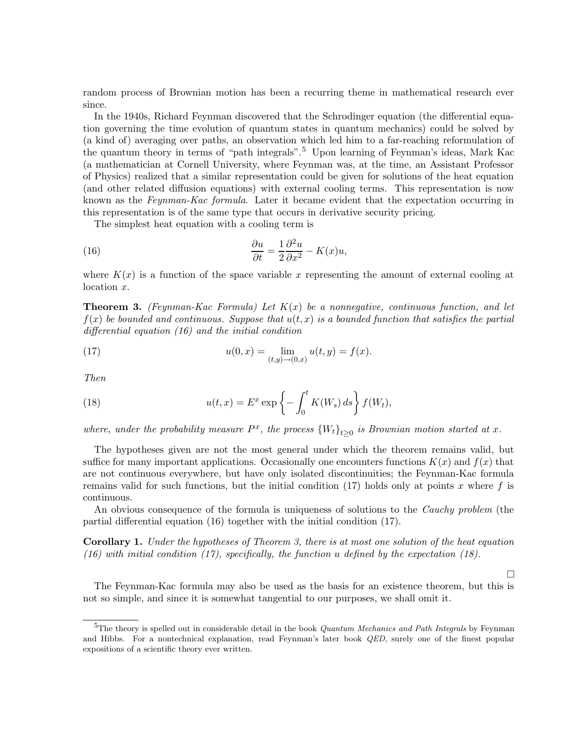random process of Brownian motion has been a recurring theme in mathematical research ever since.

In the 1940s, Richard Feynman discovered that the Schrodinger equation (the differential equation governing the time evolution of quantum states in quantum mechanics) could be solved by (a kind of) averaging over paths, an observation which led him to a far-reaching reformulation of the quantum theory in terms of "path integrals".<sup>5</sup> Upon learning of Feynman's ideas, Mark Kac (a mathematician at Cornell University, where Feynman was, at the time, an Assistant Professor of Physics) realized that a similar representation could be given for solutions of the heat equation (and other related diffusion equations) with external cooling terms. This representation is now known as the Feynman-Kac formula. Later it became evident that the expectation occurring in this representation is of the same type that occurs in derivative security pricing.

The simplest heat equation with a cooling term is

(16) 
$$
\frac{\partial u}{\partial t} = \frac{1}{2} \frac{\partial^2 u}{\partial x^2} - K(x)u,
$$

where  $K(x)$  is a function of the space variable x representing the amount of external cooling at location x.

**Theorem 3.** (Feynman-Kac Formula) Let  $K(x)$  be a nonnegative, continuous function, and let  $f(x)$  be bounded and continuous. Suppose that  $u(t, x)$  is a bounded function that satisfies the partial differential equation (16) and the initial condition

(17) 
$$
u(0,x) = \lim_{(t,y)\to(0,x)} u(t,y) = f(x).
$$

Then

(18) 
$$
u(t,x) = E^x \exp\left\{-\int_0^t K(W_s) ds\right\} f(W_t),
$$

where, under the probability measure  $P^x$ , the process  ${W_t}_{t\geq0}$  is Brownian motion started at x.

The hypotheses given are not the most general under which the theorem remains valid, but suffice for many important applications. Occasionally one encounters functions  $K(x)$  and  $f(x)$  that are not continuous everywhere, but have only isolated discontinuities; the Feynman-Kac formula remains valid for such functions, but the initial condition  $(17)$  holds only at points x where f is continuous.

An obvious consequence of the formula is uniqueness of solutions to the *Cauchy problem* (the partial differential equation (16) together with the initial condition (17).

Corollary 1. Under the hypotheses of Theorem 3, there is at most one solution of the heat equation (16) with initial condition (17), specifically, the function u defined by the expectation (18).

 $\Box$ 

The Feynman-Kac formula may also be used as the basis for an existence theorem, but this is not so simple, and since it is somewhat tangential to our purposes, we shall omit it.

<sup>&</sup>lt;sup>5</sup>The theory is spelled out in considerable detail in the book *Quantum Mechanics and Path Integrals* by Feynman and Hibbs. For a nontechnical explanation, read Feynman's later book QED, surely one of the finest popular expositions of a scientific theory ever written.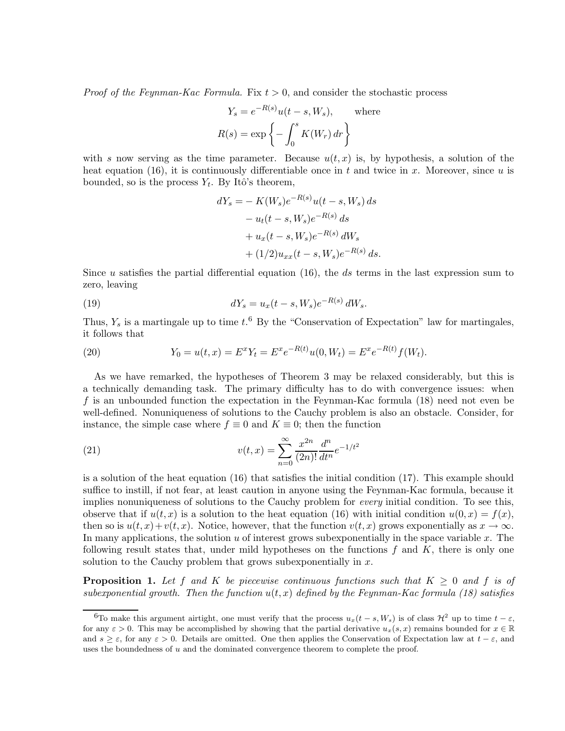*Proof of the Feynman-Kac Formula.* Fix  $t > 0$ , and consider the stochastic process

$$
Y_s = e^{-R(s)}u(t - s, W_s), \text{ where}
$$

$$
R(s) = \exp\left\{-\int_0^s K(W_r) dr\right\}
$$

with s now serving as the time parameter. Because  $u(t, x)$  is, by hypothesis, a solution of the heat equation (16), it is continuously differentiable once in t and twice in x. Moreover, since u is bounded, so is the process  $Y_t$ . By Itô's theorem,

$$
dY_s = -K(W_s)e^{-R(s)}u(t-s, W_s) ds
$$
  
\n
$$
-u_t(t-s, W_s)e^{-R(s)} ds
$$
  
\n
$$
+u_x(t-s, W_s)e^{-R(s)} dW_s
$$
  
\n
$$
+(1/2)u_{xx}(t-s, W_s)e^{-R(s)} ds.
$$

Since u satisfies the partial differential equation  $(16)$ , the ds terms in the last expression sum to zero, leaving

(19) 
$$
dY_s = u_x(t-s,W_s)e^{-R(s)}dW_s.
$$

Thus,  $Y_s$  is a martingale up to time  $t$ .<sup>6</sup> By the "Conservation of Expectation" law for martingales, it follows that

(20) 
$$
Y_0 = u(t, x) = E^x Y_t = E^x e^{-R(t)} u(0, W_t) = E^x e^{-R(t)} f(W_t).
$$

As we have remarked, the hypotheses of Theorem 3 may be relaxed considerably, but this is a technically demanding task. The primary difficulty has to do with convergence issues: when f is an unbounded function the expectation in the Feynman-Kac formula (18) need not even be well-defined. Nonuniqueness of solutions to the Cauchy problem is also an obstacle. Consider, for instance, the simple case where  $f \equiv 0$  and  $K \equiv 0$ ; then the function

(21) 
$$
v(t,x) = \sum_{n=0}^{\infty} \frac{x^{2n}}{(2n)!} \frac{d^n}{dt^n} e^{-1/t^2}
$$

is a solution of the heat equation (16) that satisfies the initial condition (17). This example should suffice to instill, if not fear, at least caution in anyone using the Feynman-Kac formula, because it implies nonuniqueness of solutions to the Cauchy problem for *every* initial condition. To see this, observe that if  $u(t, x)$  is a solution to the heat equation (16) with initial condition  $u(0, x) = f(x)$ , then so is  $u(t, x) + v(t, x)$ . Notice, however, that the function  $v(t, x)$  grows exponentially as  $x \to \infty$ . In many applications, the solution u of interest grows subexponentially in the space variable x. The following result states that, under mild hypotheses on the functions  $f$  and  $K$ , there is only one solution to the Cauchy problem that grows subexponentially in  $x$ .

**Proposition 1.** Let f and K be piecewise continuous functions such that  $K \geq 0$  and f is of subexponential growth. Then the function  $u(t, x)$  defined by the Feynman-Kac formula (18) satisfies

<sup>&</sup>lt;sup>6</sup>To make this argument airtight, one must verify that the process  $u_x(t-s, W_s)$  is of class  $\mathcal{H}^2$  up to time  $t - \varepsilon$ , for any  $\varepsilon > 0$ . This may be accomplished by showing that the partial derivative  $u_x(s, x)$  remains bounded for  $x \in \mathbb{R}$ and  $s \geq \varepsilon$ , for any  $\varepsilon > 0$ . Details are omitted. One then applies the Conservation of Expectation law at  $t - \varepsilon$ , and uses the boundedness of  $u$  and the dominated convergence theorem to complete the proof.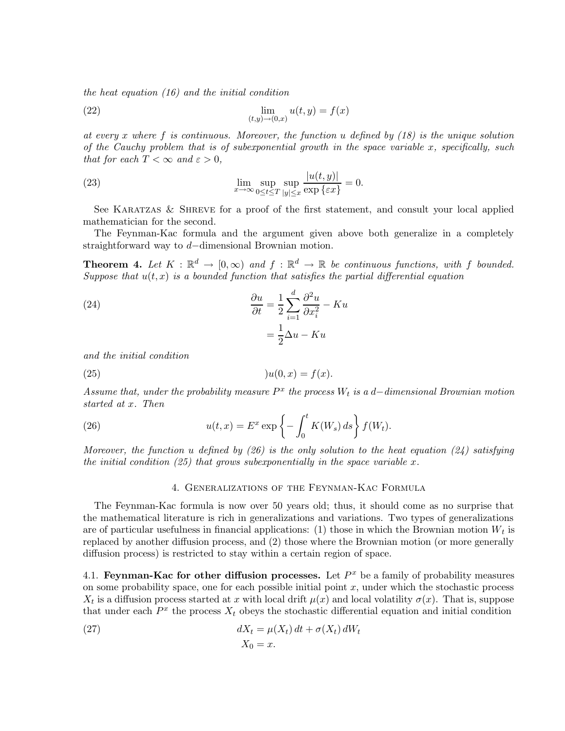the heat equation (16) and the initial condition

(22) 
$$
\lim_{(t,y)\to(0,x)}u(t,y)=f(x)
$$

at every x where f is continuous. Moreover, the function u defined by  $(18)$  is the unique solution of the Cauchy problem that is of subexponential growth in the space variable x, specifically, such that for each  $T < \infty$  and  $\varepsilon > 0$ ,

(23) 
$$
\lim_{x \to \infty} \sup_{0 \le t \le T} \sup_{|y| \le x} \frac{|u(t, y)|}{\exp \{\varepsilon x\}} = 0.
$$

See KARATZAS  $&$  SHREVE for a proof of the first statement, and consult your local applied mathematician for the second.

The Feynman-Kac formula and the argument given above both generalize in a completely straightforward way to d−dimensional Brownian motion.

**Theorem 4.** Let  $K : \mathbb{R}^d \to [0, \infty)$  and  $f : \mathbb{R}^d \to \mathbb{R}$  be continuous functions, with f bounded. Suppose that  $u(t, x)$  is a bounded function that satisfies the partial differential equation

(24) 
$$
\frac{\partial u}{\partial t} = \frac{1}{2} \sum_{i=1}^{d} \frac{\partial^2 u}{\partial x_i^2} - Ku
$$

$$
= \frac{1}{2} \Delta u - Ku
$$

and the initial condition

$$
(25) \t\t\t\t\t\t)u(0,x) = f(x).
$$

Assume that, under the probability measure  $P^x$  the process  $W_t$  is a d-dimensional Brownian motion started at x. Then

(26) 
$$
u(t,x) = E^x \exp\left\{-\int_0^t K(W_s) ds\right\} f(W_t).
$$

Moreover, the function u defined by (26) is the only solution to the heat equation (24) satisfying the initial condition  $(25)$  that grows subexponentially in the space variable x.

### 4. Generalizations of the Feynman-Kac Formula

The Feynman-Kac formula is now over 50 years old; thus, it should come as no surprise that the mathematical literature is rich in generalizations and variations. Two types of generalizations are of particular usefulness in financial applications: (1) those in which the Brownian motion  $W_t$  is replaced by another diffusion process, and (2) those where the Brownian motion (or more generally diffusion process) is restricted to stay within a certain region of space.

4.1. Feynman-Kac for other diffusion processes. Let  $P<sup>x</sup>$  be a family of probability measures on some probability space, one for each possible initial point  $x$ , under which the stochastic process  $X_t$  is a diffusion process started at x with local drift  $\mu(x)$  and local volatility  $\sigma(x)$ . That is, suppose that under each  $P^x$  the process  $X_t$  obeys the stochastic differential equation and initial condition

(27) 
$$
dX_t = \mu(X_t) dt + \sigma(X_t) dW_t
$$

$$
X_0 = x.
$$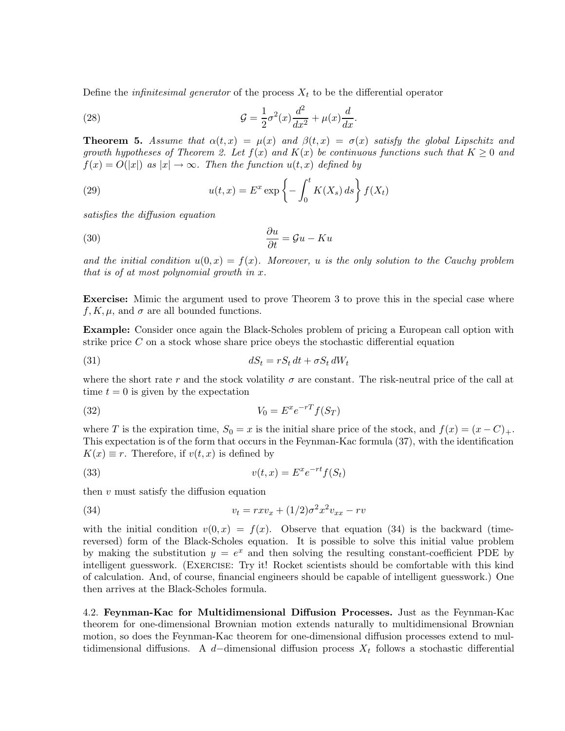Define the *infinitesimal generator* of the process  $X_t$  to be the differential operator

(28) 
$$
\mathcal{G} = \frac{1}{2}\sigma^2(x)\frac{d^2}{dx^2} + \mu(x)\frac{d}{dx}.
$$

**Theorem 5.** Assume that  $\alpha(t,x) = \mu(x)$  and  $\beta(t,x) = \sigma(x)$  satisfy the global Lipschitz and growth hypotheses of Theorem 2. Let  $f(x)$  and  $K(x)$  be continuous functions such that  $K \geq 0$  and  $f(x) = O(|x|)$  as  $|x| \to \infty$ . Then the function  $u(t, x)$  defined by

(29) 
$$
u(t,x) = E^x \exp\left\{-\int_0^t K(X_s) ds\right\} f(X_t)
$$

satisfies the diffusion equation

$$
\frac{\partial u}{\partial t} = \mathcal{G}u - Ku
$$

and the initial condition  $u(0, x) = f(x)$ . Moreover, u is the only solution to the Cauchy problem that is of at most polynomial growth in x.

Exercise: Mimic the argument used to prove Theorem 3 to prove this in the special case where  $f, K, \mu$ , and  $\sigma$  are all bounded functions.

Example: Consider once again the Black-Scholes problem of pricing a European call option with strike price  $C$  on a stock whose share price obeys the stochastic differential equation

$$
dS_t = rS_t dt + \sigma S_t dW_t
$$

where the short rate r and the stock volatility  $\sigma$  are constant. The risk-neutral price of the call at time  $t = 0$  is given by the expectation

$$
(32)\t\t\t V_0 = E^x e^{-rT} f(S_T)
$$

where T is the expiration time,  $S_0 = x$  is the initial share price of the stock, and  $f(x) = (x - C)_+$ . This expectation is of the form that occurs in the Feynman-Kac formula (37), with the identification  $K(x) \equiv r$ . Therefore, if  $v(t, x)$  is defined by

(33) 
$$
v(t,x) = E^x e^{-rt} f(S_t)
$$

then  $v$  must satisfy the diffusion equation

(34) 
$$
v_t = rxv_x + (1/2)\sigma^2 x^2 v_{xx} - rv
$$

with the initial condition  $v(0, x) = f(x)$ . Observe that equation (34) is the backward (timereversed) form of the Black-Scholes equation. It is possible to solve this initial value problem by making the substitution  $y = e^x$  and then solving the resulting constant-coefficient PDE by intelligent guesswork. (Exercise: Try it! Rocket scientists should be comfortable with this kind of calculation. And, of course, financial engineers should be capable of intelligent guesswork.) One then arrives at the Black-Scholes formula.

4.2. Feynman-Kac for Multidimensional Diffusion Processes. Just as the Feynman-Kac theorem for one-dimensional Brownian motion extends naturally to multidimensional Brownian motion, so does the Feynman-Kac theorem for one-dimensional diffusion processes extend to multidimensional diffusions. A d-dimensional diffusion process  $X_t$  follows a stochastic differential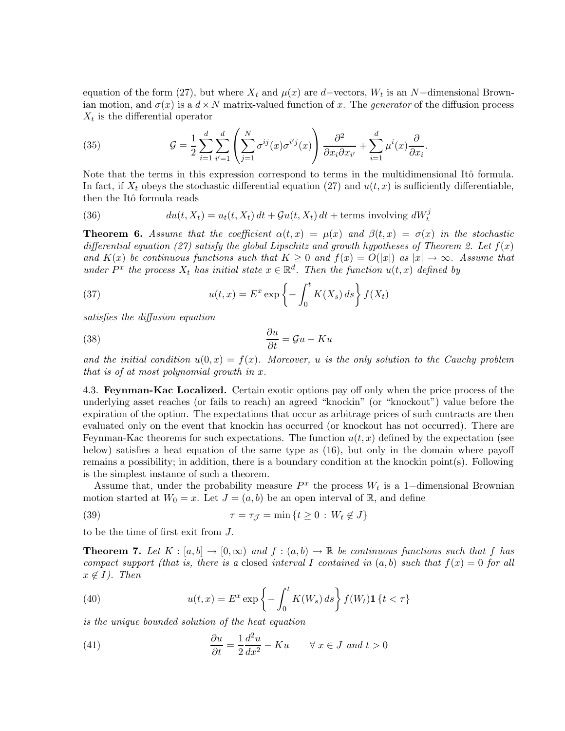equation of the form (27), but where  $X_t$  and  $\mu(x)$  are d–vectors,  $W_t$  is an N–dimensional Brownian motion, and  $\sigma(x)$  is a  $d \times N$  matrix-valued function of x. The *generator* of the diffusion process  $X_t$  is the differential operator

(35) 
$$
\mathcal{G} = \frac{1}{2} \sum_{i=1}^{d} \sum_{i'=1}^{d} \left( \sum_{j=1}^{N} \sigma^{ij}(x) \sigma^{i'j}(x) \right) \frac{\partial^2}{\partial x_i \partial x_{i'}} + \sum_{i=1}^{d} \mu^{i}(x) \frac{\partial}{\partial x_i}.
$$

Note that the terms in this expression correspond to terms in the multidimensional Itô formula. In fact, if  $X_t$  obeys the stochastic differential equation (27) and  $u(t, x)$  is sufficiently differentiable, then the Itô formula reads

(36) 
$$
du(t, X_t) = u_t(t, X_t) dt + \mathcal{G}u(t, X_t) dt + \text{terms involving } dW_t^j
$$

**Theorem 6.** Assume that the coefficient  $\alpha(t,x) = \mu(x)$  and  $\beta(t,x) = \sigma(x)$  in the stochastic differential equation (27) satisfy the global Lipschitz and growth hypotheses of Theorem 2. Let  $f(x)$ and  $K(x)$  be continuous functions such that  $K \geq 0$  and  $f(x) = O(|x|)$  as  $|x| \to \infty$ . Assume that under  $P^x$  the process  $X_t$  has initial state  $x \in \mathbb{R}^d$ . Then the function  $u(t,x)$  defined by

(37) 
$$
u(t,x) = E^x \exp\left\{-\int_0^t K(X_s) ds\right\} f(X_t)
$$

satisfies the diffusion equation

(38) 
$$
\frac{\partial u}{\partial t} = \mathcal{G}u - Ku
$$

and the initial condition  $u(0, x) = f(x)$ . Moreover, u is the only solution to the Cauchy problem that is of at most polynomial growth in x.

4.3. Feynman-Kac Localized. Certain exotic options pay off only when the price process of the underlying asset reaches (or fails to reach) an agreed "knockin" (or "knockout") value before the expiration of the option. The expectations that occur as arbitrage prices of such contracts are then evaluated only on the event that knockin has occurred (or knockout has not occurred). There are Feynman-Kac theorems for such expectations. The function  $u(t, x)$  defined by the expectation (see below) satisfies a heat equation of the same type as (16), but only in the domain where payoff remains a possibility; in addition, there is a boundary condition at the knockin point(s). Following is the simplest instance of such a theorem.

Assume that, under the probability measure  $P^x$  the process  $W_t$  is a 1-dimensional Brownian motion started at  $W_0 = x$ . Let  $J = (a, b)$  be an open interval of R, and define

(39) 
$$
\tau = \tau_{\mathcal{J}} = \min \left\{ t \ge 0 : W_t \notin J \right\}
$$

to be the time of first exit from J.

**Theorem 7.** Let  $K : [a, b] \to [0, \infty)$  and  $f : (a, b) \to \mathbb{R}$  be continuous functions such that f has compact support (that is, there is a closed interval I contained in  $(a, b)$  such that  $f(x) = 0$  for all  $x \notin I$ ). Then

(40) 
$$
u(t,x) = E^x \exp \left\{-\int_0^t K(W_s) \, ds\right\} f(W_t) \mathbf{1} \{t < \tau\}
$$

is the unique bounded solution of the heat equation

(41) 
$$
\frac{\partial u}{\partial t} = \frac{1}{2} \frac{d^2 u}{dx^2} - Ku \quad \forall x \in J \text{ and } t > 0
$$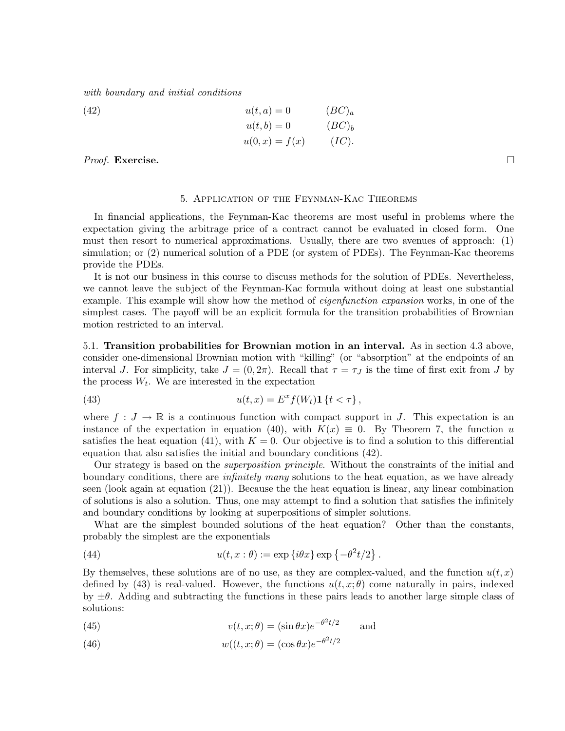with boundary and initial conditions

(42) 
$$
u(t, a) = 0 \qquad (BC)a
$$

$$
u(t, b) = 0 \qquad (BC)b
$$

$$
u(0, x) = f(x) \qquad (IC).
$$

*Proof.* Exercise.  $\Box$ 

#### 5. Application of the Feynman-Kac Theorems

In financial applications, the Feynman-Kac theorems are most useful in problems where the expectation giving the arbitrage price of a contract cannot be evaluated in closed form. One must then resort to numerical approximations. Usually, there are two avenues of approach: (1) simulation; or (2) numerical solution of a PDE (or system of PDEs). The Feynman-Kac theorems provide the PDEs.

It is not our business in this course to discuss methods for the solution of PDEs. Nevertheless, we cannot leave the subject of the Feynman-Kac formula without doing at least one substantial example. This example will show how the method of *eigenfunction expansion* works, in one of the simplest cases. The payoff will be an explicit formula for the transition probabilities of Brownian motion restricted to an interval.

5.1. Transition probabilities for Brownian motion in an interval. As in section 4.3 above, consider one-dimensional Brownian motion with "killing" (or "absorption" at the endpoints of an interval J. For simplicity, take  $J = (0, 2\pi)$ . Recall that  $\tau = \tau_J$  is the time of first exit from J by the process  $W_t$ . We are interested in the expectation

(43) 
$$
u(t,x) = E^x f(W_t) \mathbf{1} \{t < \tau\},
$$

where  $f: J \to \mathbb{R}$  is a continuous function with compact support in J. This expectation is an instance of the expectation in equation (40), with  $K(x) \equiv 0$ . By Theorem 7, the function u satisfies the heat equation (41), with  $K = 0$ . Our objective is to find a solution to this differential equation that also satisfies the initial and boundary conditions (42).

Our strategy is based on the superposition principle. Without the constraints of the initial and boundary conditions, there are *infinitely many* solutions to the heat equation, as we have already seen (look again at equation (21)). Because the the heat equation is linear, any linear combination of solutions is also a solution. Thus, one may attempt to find a solution that satisfies the infinitely and boundary conditions by looking at superpositions of simpler solutions.

What are the simplest bounded solutions of the heat equation? Other than the constants, probably the simplest are the exponentials

(44) 
$$
u(t, x : \theta) := \exp\left\{i\theta x\right\} \exp\left\{-\theta^2 t/2\right\}.
$$

By themselves, these solutions are of no use, as they are complex-valued, and the function  $u(t, x)$ defined by (43) is real-valued. However, the functions  $u(t, x; \theta)$  come naturally in pairs, indexed by  $\pm\theta$ . Adding and subtracting the functions in these pairs leads to another large simple class of solutions:

(45) 
$$
v(t, x; \theta) = (\sin \theta x)e^{-\theta^2 t/2} \quad \text{and}
$$

(46) 
$$
w((t, x; \theta) = (\cos \theta x)e^{-\theta^2 t/2}
$$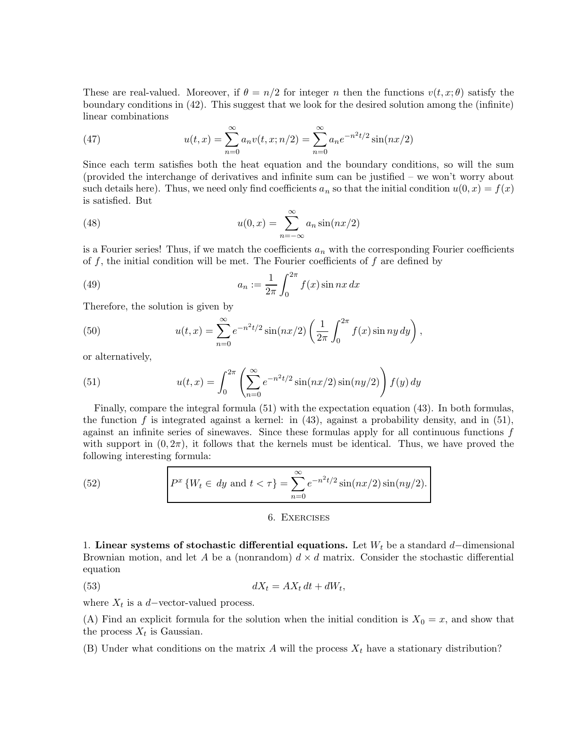These are real-valued. Moreover, if  $\theta = n/2$  for integer n then the functions  $v(t, x; \theta)$  satisfy the boundary conditions in (42). This suggest that we look for the desired solution among the (infinite) linear combinations

(47) 
$$
u(t,x) = \sum_{n=0}^{\infty} a_n v(t,x;n/2) = \sum_{n=0}^{\infty} a_n e^{-n^2 t/2} \sin(nx/2)
$$

Since each term satisfies both the heat equation and the boundary conditions, so will the sum (provided the interchange of derivatives and infinite sum can be justified – we won't worry about such details here). Thus, we need only find coefficients  $a_n$  so that the initial condition  $u(0, x) = f(x)$ is satisfied. But

(48) 
$$
u(0,x) = \sum_{n=-\infty}^{\infty} a_n \sin(nx/2)
$$

is a Fourier series! Thus, if we match the coefficients  $a_n$  with the corresponding Fourier coefficients of f, the initial condition will be met. The Fourier coefficients of  $f$  are defined by

(49) 
$$
a_n := \frac{1}{2\pi} \int_0^{2\pi} f(x) \sin nx \, dx
$$

Therefore, the solution is given by

(50) 
$$
u(t,x) = \sum_{n=0}^{\infty} e^{-n^2 t/2} \sin(nx/2) \left(\frac{1}{2\pi} \int_0^{2\pi} f(x) \sin(n y) dy\right),
$$

or alternatively,

(51) 
$$
u(t,x) = \int_0^{2\pi} \left( \sum_{n=0}^\infty e^{-n^2 t/2} \sin(nx/2) \sin(ny/2) \right) f(y) dy
$$

Finally, compare the integral formula (51) with the expectation equation (43). In both formulas, the function f is integrated against a kernel: in  $(43)$ , against a probability density, and in  $(51)$ , against an infinite series of sinewaves. Since these formulas apply for all continuous functions f with support in  $(0, 2\pi)$ , it follows that the kernels must be identical. Thus, we have proved the following interesting formula:

(52) 
$$
P^{x} \{W_{t} \in dy \text{ and } t < \tau\} = \sum_{n=0}^{\infty} e^{-n^{2}t/2} \sin(nx/2) \sin(ny/2).
$$

### 6. Exercises

1. Linear systems of stochastic differential equations. Let  $W_t$  be a standard d–dimensional Brownian motion, and let A be a (nonrandom)  $d \times d$  matrix. Consider the stochastic differential equation

$$
dX_t = AX_t dt + dW_t,
$$

where  $X_t$  is a d–vector-valued process.

(A) Find an explicit formula for the solution when the initial condition is  $X_0 = x$ , and show that the process  $X_t$  is Gaussian.

(B) Under what conditions on the matrix A will the process  $X_t$  have a stationary distribution?